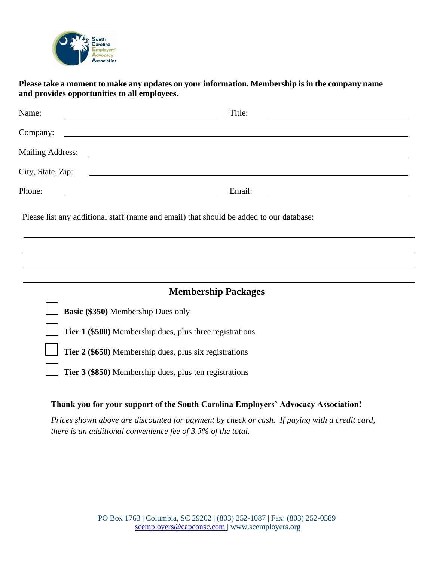

## **Please take a moment to make any updates on your information. Membership is in the company name and provides opportunities to all employees.**

## **Thank you for your support of the South Carolina Employers' Advocacy Association!**

*Prices shown above are discounted for payment by check or cash. If paying with a credit card, there is an additional convenience fee of 3.5% of the total.*